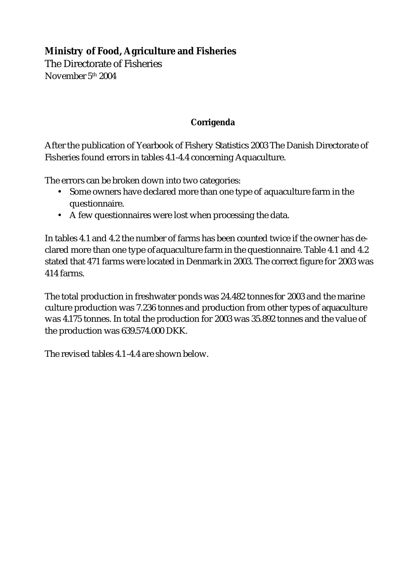## **Ministry of Food, Agriculture and Fisheries**

The Directorate of Fisheries November 5 th 2004

## **Corrigenda**

After the publication of Yearbook of Fishery Statistics 2003 The Danish Directorate of Fisheries found errors in tables 4.1-4.4 concerning Aquaculture.

The errors can be broken down into two categories:

- Some owners have declared more than one type of aquaculture farm in the questionnaire.
- A few questionnaires were lost when processing the data.

In tables 4.1 and 4.2 the number of farms has been counted twice if the owner has declared more than one type of aquaculture farm in the questionnaire. Table 4.1 and 4.2 stated that 471 farms were located in Denmark in 2003. The correct figure for 2003 was 414 farms.

The total production in freshwater ponds was 24.482 tonnes for 2003 and the marine culture production was 7.236 tonnes and production from other types of aquaculture was 4.175 tonnes. In total the production for 2003 was 35.892 tonnes and the value of the production was 639.574.000 DKK.

The revised tables 4.1-4.4 are shown below.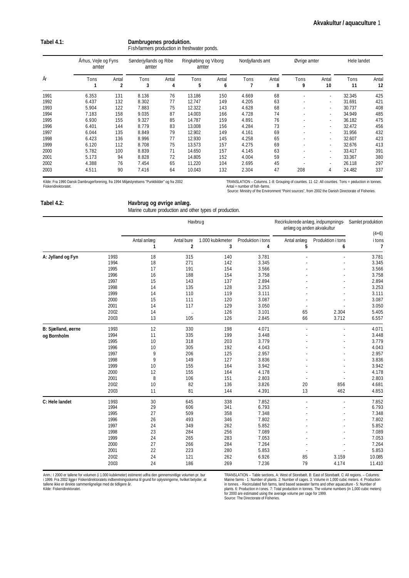| Tabel 4.1: | Dambrugenes produktion.                      |  |  |  |  |
|------------|----------------------------------------------|--|--|--|--|
|            | Fish-farmers production in freshwater ponds. |  |  |  |  |

| År   |       | Århus, Vejle og Fyns<br>amter |           | Sønderjyllands og Ribe<br>amter |           | Ringkøbing og Viborg<br>amter |       | Nordiyllands amt |           | Øvrige amter |            | Hele landet |  |
|------|-------|-------------------------------|-----------|---------------------------------|-----------|-------------------------------|-------|------------------|-----------|--------------|------------|-------------|--|
|      | Tons  | Antal<br>2                    | Tons<br>3 | Antal<br>4                      | Tons<br>5 | Antal<br>6                    | Tons  | Antal<br>8       | Tons<br>9 | Antal<br>10  | Tons<br>11 | Antal<br>12 |  |
| 1991 | 6.353 | 131                           | 8.136     | 76                              | 13.186    | 150                           | 4.669 | 68               |           | ٠            | 32.345     | 425         |  |
| 1992 | 6.437 | 132                           | 8.302     | 77                              | 12.747    | 149                           | 4.205 | 63               |           | ٠            | 31.691     | 421         |  |
| 1993 | 5.904 | 122                           | 7.883     | 75                              | 12.322    | 143                           | 4.628 | 68               |           | ۰.           | 30.737     | 408         |  |
| 1994 | 7.183 | 158                           | 9.035     | 87                              | 14.003    | 166                           | 4.728 | 74               |           |              | 34.949     | 485         |  |
| 1995 | 6.930 | 155                           | 9.327     | 85                              | 14.787    | 159                           | 4.891 | 76               |           | ٠            | 36.182     | 475         |  |
| 1996 | 6.401 | 144                           | 8.779     | 83                              | 13.008    | 156                           | 4.284 | 73               |           | ٠            | 32.472     | 456         |  |
| 1997 | 6.044 | 135                           | 8.849     | 79                              | 12.902    | 149                           | 4.161 | 69               |           | ٠            | 31.956     | 432         |  |
| 1998 | 6.423 | 136                           | 8.996     | 77                              | 12.930    | 145                           | 4.258 | 65               |           | ٠            | 32.607     | 423         |  |
| 1999 | 6.120 | 112                           | 8.708     | 75                              | 13.573    | 157                           | 4.275 | 69               |           | ۰.           | 32.676     | 413         |  |
| 2000 | 5.782 | 100                           | 8.839     | 71                              | 14.650    | 157                           | 4.145 | 63               |           |              | 33.417     | 391         |  |
| 2001 | 5.173 | 94                            | 8.828     | 72                              | 14.805    | 152                           | 4.004 | 59               |           |              | 33.367     | 380         |  |
| 2002 | 4.388 | 76                            | 7.454     | 65                              | 11.220    | 104                           | 2.695 | 45               |           | ۰.           | 26.118     | 297         |  |
| 2003 | 4.511 | 90                            | 7.416     | 64                              | 10.043    | 132                           | 2.304 | 47               | 208       | 4            | 24.482     | 337         |  |

Kilde: Fra 1990 Dansk Dambrugerforening, fra 1994 Miljøstyrelsens "Punktkilder" og fra 2002 Fiskeridirektoratet.

TRANSLATION – Columns. 1 -8: Grouping of counties. 11 -12: All counties. Tons = production in tonnes. Antal = number of fish -farms. Source: Ministry of the Environment "Point sources", from 2002 the Danish Directorate of Fisheries.

| Tabel 4.2: | Havbrug og øvrige anlæg.                                 |
|------------|----------------------------------------------------------|
|            | Marine culture production and other types of production. |

|                    |      |                  |                                       | Havbrug               |                        | Recirkulerede anlæg, indpumpnings-<br>anlæg og anden akvakultur | Samlet produktion<br>$(4+6)$ |             |
|--------------------|------|------------------|---------------------------------------|-----------------------|------------------------|-----------------------------------------------------------------|------------------------------|-------------|
|                    |      | Antal anlæg<br>1 | Antal bure<br>$\overline{\mathbf{2}}$ | 1.000 kubikmeter<br>3 | Produktion i tons<br>4 | Antal anlæg<br>5                                                | Produktion i tons<br>6       | i tons<br>7 |
| A: Jylland og Fyn  | 1993 | 18               | 315                                   | 140                   | 3.781                  |                                                                 |                              | 3.781       |
|                    | 1994 | 18               | 271                                   | 142                   | 3.345                  |                                                                 |                              | 3.345       |
|                    | 1995 | 17               | 191                                   | 154                   | 3.566                  |                                                                 |                              | 3.566       |
|                    | 1996 | 16               | 188                                   | 154                   | 3.758                  |                                                                 |                              | 3.758       |
|                    | 1997 | 15               | 143                                   | 137                   | 2.894                  |                                                                 |                              | 2.894       |
|                    | 1998 | 14               | 135                                   | 128                   | 3.253                  |                                                                 |                              | 3.253       |
|                    | 1999 | 14               | 110                                   | 119                   | 3.111                  |                                                                 |                              | 3.111       |
|                    | 2000 | 15               | 111                                   | 120                   | 3.087                  |                                                                 |                              | 3.087       |
|                    | 2001 | 14               | 117                                   | 129                   | 3.050                  |                                                                 |                              | 3.050       |
|                    | 2002 | 14               | $\ldots$                              | 126                   | 3.101                  | 65                                                              | 2.304                        | 5.405       |
|                    | 2003 | 13               | 105                                   | 126                   | 2.845                  | 66                                                              | 3.712                        | 6.557       |
| B: Sjælland, øerne | 1993 | 12               | 330                                   | 198                   | 4.071                  |                                                                 |                              | 4.071       |
| og Bornholm        | 1994 | 11               | 335                                   | 199                   | 3.448                  |                                                                 |                              | 3.448       |
|                    | 1995 | 10               | 318                                   | 203                   | 3.779                  |                                                                 |                              | 3.779       |
|                    | 1996 | 10               | 305                                   | 192                   | 4.043                  |                                                                 |                              | 4.043       |
|                    | 1997 | 9                | 206                                   | 125                   | 2.957                  |                                                                 |                              | 2.957       |
|                    | 1998 | 9                | 149                                   | 127                   | 3.836                  |                                                                 |                              | 3.836       |
|                    | 1999 | 10               | 155                                   | 164                   | 3.942                  |                                                                 |                              | 3.942       |
|                    | 2000 | 12               | 155                                   | 164                   | 4.178                  |                                                                 |                              | 4.178       |
|                    | 2001 | 8                | 106                                   | 151                   | 2.803                  |                                                                 |                              | 2.803       |
|                    | 2002 | 10               | 82                                    | 136                   | 3.826                  | 20                                                              | 856                          | 4.681       |
|                    | 2003 | 11               | 81                                    | 144                   | 4.391                  | 13                                                              | 462                          | 4.853       |
| C: Hele landet     | 1993 | 30               | 645                                   | 338                   | 7.852                  |                                                                 |                              | 7.852       |
|                    | 1994 | 29               | 606                                   | 341                   | 6.793                  |                                                                 |                              | 6.793       |
|                    | 1995 | 27               | 509                                   | 358                   | 7.348                  |                                                                 |                              | 7.348       |
|                    | 1996 | 26               | 493                                   | 346                   | 7.802                  |                                                                 |                              | 7.802       |
|                    | 1997 | 24               | 349                                   | 262                   | 5.852                  |                                                                 |                              | 5.852       |
|                    | 1998 | 23               | 284                                   | 256                   | 7.089                  |                                                                 |                              | 7.089       |
|                    | 1999 | 24               | 265                                   | 283                   | 7.053                  |                                                                 |                              | 7.053       |
|                    | 2000 | 27               | 266                                   | 284                   | 7.264                  |                                                                 |                              | 7.264       |
|                    | 2001 | 22               | 223                                   | 280                   | 5.853                  |                                                                 |                              | 5.853       |
|                    | 2002 | 24               | 121                                   | 262                   | 6.926                  | 85                                                              | 3.159                        | 10.085      |
|                    | 2003 | 24               | 186                                   | 269                   | 7.236                  | 79                                                              | 4.174                        | 11.410      |

Anm.: I 2000 er tallene for volumen (i 1.000 kubikmeter) estimeret udfra den gennemsnitlige volumen pr. bur<br>I 1999. Fra 2002 ligger Fiskeridirektoratets indberetningsskema til grund for oplysningerne, hvilket betyder, at<br>t

TRANSLATION – Table sections, A: West of Storebælt. B: East of Storebælt. C: All regions. – Columns:<br>Marine farms - 1: Number of plants. 2: Number of cages. 3: Volume in 1,000 cubic meters. 4: Production<br>in tonnes. - Recir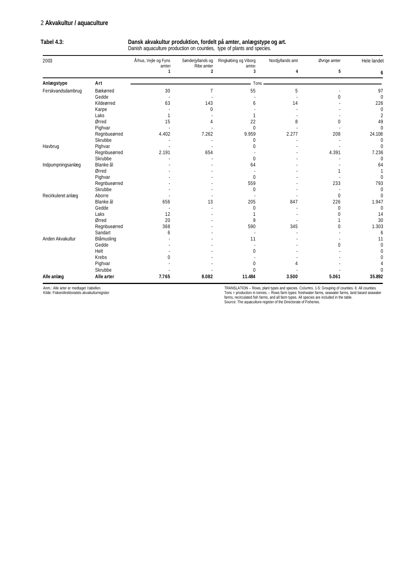## 2 **Akvakultur / aquaculture**

| 2003                                                                                 |              | Århus, Vejle og Fyns  | Sønderjyllands og<br>Ribe amter<br>2 | Ringkøbing og Viborg<br>amter<br>3 | Nordjyllands amt | Øvrige amter<br>5 | Hele landet<br>6 |
|--------------------------------------------------------------------------------------|--------------|-----------------------|--------------------------------------|------------------------------------|------------------|-------------------|------------------|
|                                                                                      |              | amter<br>$\mathbf{1}$ |                                      |                                    | 4                |                   |                  |
| Anlægstype                                                                           | Art          |                       |                                      | Tons                               |                  |                   |                  |
| Ferskvandsdambrug                                                                    | Bækørred     | 30                    | 7                                    | 55                                 | 5                |                   | 97               |
|                                                                                      | Gedde        |                       |                                      |                                    |                  | $\Omega$          | $\mathbf{0}$     |
|                                                                                      | Kildeørred   | 63                    | 143                                  | 6                                  | 14               |                   | 226              |
|                                                                                      | Karpe        |                       | 0                                    |                                    |                  |                   | $\mathbf 0$      |
|                                                                                      | Laks         | 1                     |                                      |                                    |                  |                   | $\overline{2}$   |
|                                                                                      | Ørred        | 15                    | Δ                                    | 22                                 | 8                | 0                 | 49               |
|                                                                                      | Pighvar      |                       |                                      | $\mathbf{0}$                       |                  |                   | $\Omega$         |
|                                                                                      | Regnbueørred | 4.402                 | 7.262                                | 9.959                              | 2.277            | 208               | 24.108           |
|                                                                                      | Skrubbe      |                       |                                      | 0                                  |                  |                   | $\mathbf 0$      |
|                                                                                      | Pighvar      |                       |                                      | 0                                  |                  |                   | $\Omega$         |
|                                                                                      | Regnbueørred | 2.191                 | 654                                  |                                    |                  | 4.391             | 7.236            |
|                                                                                      | Skrubbe      |                       |                                      | 0                                  |                  |                   | $\mathbf 0$      |
|                                                                                      | Blanke ål    |                       |                                      | 64                                 |                  |                   | 64               |
|                                                                                      | Ørred        |                       |                                      |                                    |                  |                   |                  |
|                                                                                      | Pighvar      |                       |                                      | $\mathbf{0}$                       |                  |                   | $\mathbf{0}$     |
|                                                                                      | Regnbueørred |                       |                                      | 559                                |                  | 233               | 793              |
|                                                                                      | Skrubbe      |                       |                                      | $\mathbf{0}$                       |                  |                   | $\mathbf{0}$     |
|                                                                                      | Aborre       |                       |                                      |                                    |                  | $\mathbf 0$       | $\Omega$         |
| Havbrug<br>Indpumpningsanlæg<br>Recirkuleret anlæg<br>Anden Akvakultur<br>Alle anlæg | Blanke ål    | 656                   | 13                                   | 205                                | 847              | 226               | 1.947            |
|                                                                                      | Gedde        |                       |                                      | 0                                  |                  | 0                 | $\mathbf{0}$     |
|                                                                                      | Laks         | 12                    |                                      |                                    |                  | 0                 | 14               |
|                                                                                      | Ørred        | 20                    |                                      | 9                                  |                  |                   | 30               |
|                                                                                      | Regnbueørred | 368                   |                                      | 590                                | 345              | 0                 | 1.303            |
|                                                                                      | Sandart      | 6                     |                                      |                                    |                  |                   | 6                |
|                                                                                      | Blåmusling   |                       |                                      | 11                                 |                  |                   | 11               |
|                                                                                      | Gedde        |                       |                                      |                                    |                  | 0                 | $\Omega$         |
|                                                                                      | Helt         |                       |                                      | 0                                  |                  |                   | 0                |
|                                                                                      | Krebs        | O                     |                                      |                                    |                  |                   | 0                |
|                                                                                      | Pighvar      |                       |                                      | 0                                  |                  |                   |                  |
|                                                                                      | Skrubbe      |                       |                                      | $\mathbf 0$                        |                  |                   | $\Omega$         |
|                                                                                      | Alle arter   | 7.765                 | 8.082                                | 11.484                             | 3.500            | 5.061             | 35.892           |

**Tabel 4.3: Dansk akvakultur produktion, fordelt på amter, anlægstype og art.**

Anm.: Alle arter er medtaget I tabellen. Kilde: Fiskeridirektoratets akvakulturregister.

TRANSLATION – Rows, plant types and species. Columns. 1-5: Grouping of counties. 6: All counties.<br>Tons = production in tonnes. – Rows farm types: freshwater farms, seawater farms, land based seawater<br>farms, recirculated fi